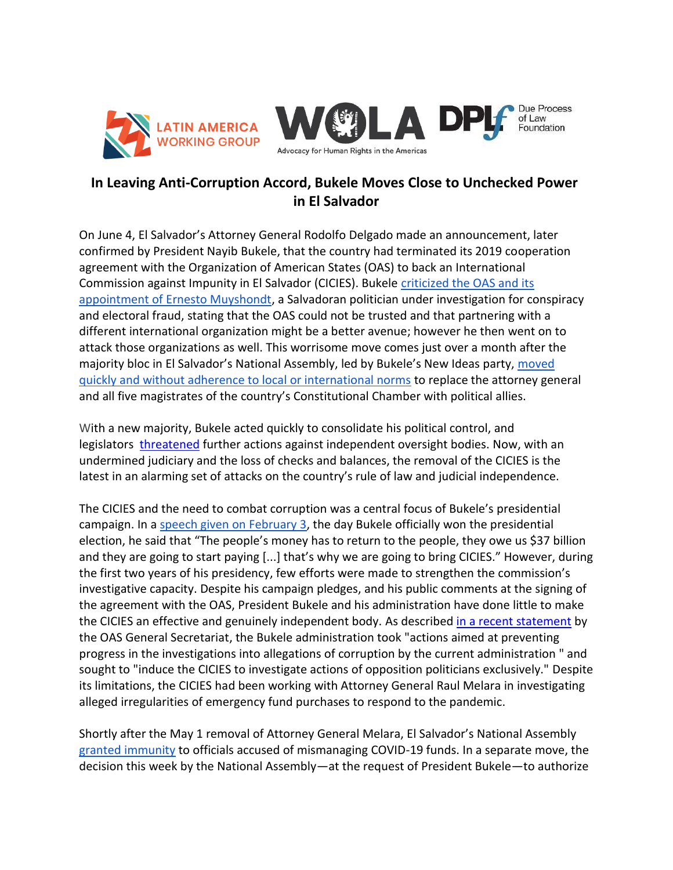



## **In Leaving Anti-Corruption Accord, Bukele Moves Close to Unchecked Power in El Salvador**

On June 4, El Salvador's Attorney General Rodolfo Delgado made an announcement, later confirmed by President Nayib Bukele, that the country had terminated its 2019 cooperation agreement with the Organization of American States (OAS) to back an International Commission against Impunity in El Salvador (CICIES). Bukele criticized the OAS and its [appointment of Ernesto Muyshondt,](https://insightcrime.org/news/coup-de-grace-el-salvador-anti-corruption-commission/) a Salvadoran politician under investigation for conspiracy and electoral fraud, stating that the OAS could not be trusted and that partnering with a different international organization might be a better avenue; however he then went on to attack those organizations as well. This worrisome move comes just over a month after the majority bloc in El Salvador's National Assembly, led by Bukele's New Ideas party, [moved](https://www.wola.org/2021/05/el-salvador-attorney-general-constitutional-court/)  [quickly and without adherence to local or international norms](https://www.wola.org/2021/05/el-salvador-attorney-general-constitutional-court/) to replace the attorney general and all five magistrates of the country's Constitutional Chamber with political allies.

With a new majority, Bukele acted quickly to consolidate his political control, and legislators [threatened](https://www.wola.org/2021/05/biden-rule-law-central-america/) further actions against independent oversight bodies. Now, with an undermined judiciary and the loss of checks and balances, the removal of the CICIES is the latest in an alarming set of attacks on the country's rule of law and judicial independence.

The CICIES and the need to combat corruption was a central focus of Bukele's presidential campaign. In a [speech given on February 3,](https://historico.elsalvador.com/historico/565166/bukele-reitera-que-creara-comision-contra-la-impunidad.html) the day Bukele officially won the presidential election, he said that "The people's money has to return to the people, they owe us \$37 billion and they are going to start paying [...] that's why we are going to bring CICIES." However, during the first two years of his presidency, few efforts were made to strengthen the commission's investigative capacity. Despite his campaign pledges, and his public comments at the signing of the agreement with the OAS, President Bukele and his administration have done little to make the CICIES an effective and genuinely independent body. As described [in a recent statement](https://www.oas.org/en/media_center/press_release.asp?sCodigo=E-059/21) by the OAS General Secretariat, the Bukele administration took "actions aimed at preventing progress in the investigations into allegations of corruption by the current administration " and sought to "induce the CICIES to investigate actions of opposition politicians exclusively." Despite its limitations, the CICIES had been working with Attorney General Raul Melara in investigating alleged irregularities of emergency fund purchases to respond to the pandemic.

Shortly after the May 1 removal of Attorney General Melara, El Salvador's National Assembly [granted immunity](https://insightcrime.org/news/pandemic-immunity-el-salvador-corruption/) to officials accused of mismanaging COVID-19 funds. In a separate move, the decision this week by the National Assembly—at the request of President Bukele—to authorize